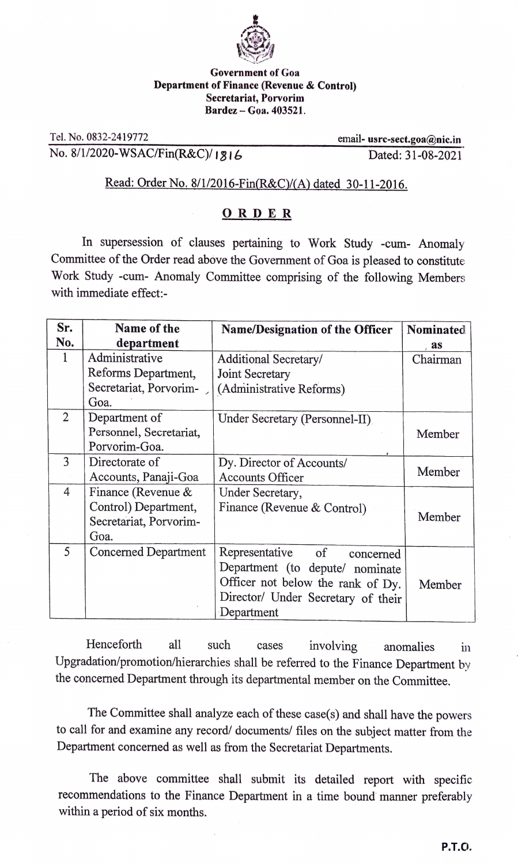

## Government of Goa Department of Finance (Revenue & Control) Secretariat, Porvorim Bardez-Goa. 403521.

Tel. No. 0832-2419772 No. 8/1/2020-WSAC/Fin(R&C)/ 1316

email- usrc-sect.goa@nic.in Dated: 31-08-2021

## Read: Order No. 8/1/2016-Fin(R&C)/(A) dated 30-11-2016.

## ORDER

In supersession of clauses pertaining to Work Study -cum- Anomaly Commitiee of the Order read above the Government of Goa is pleased to constitute Work Study -cum- Anomaly Committee comprising of the following Members with immediate effect:

| Sr.            | Name of the                 | <b>Name/Designation of the Officer</b> | Nominated |
|----------------|-----------------------------|----------------------------------------|-----------|
| No.            | department                  |                                        | as        |
| 1              | Administrative              | Additional Secretary/                  | Chairman  |
|                | Reforms Department,         | Joint Secretary                        |           |
|                | Secretariat, Porvorim-      | (Administrative Reforms)               |           |
|                | Goa.                        |                                        |           |
| $\overline{2}$ | Department of               | Under Secretary (Personnel-II)         |           |
|                | Personnel, Secretariat,     |                                        | Member    |
|                | Porvorim-Goa.               |                                        |           |
| 3              | Directorate of              | Dy. Director of Accounts/              |           |
|                | Accounts, Panaji-Goa        | <b>Accounts Officer</b>                | Member    |
| $\overline{4}$ | Finance (Revenue &          | Under Secretary,                       |           |
|                | Control) Department,        | Finance (Revenue & Control)            |           |
|                | Secretariat, Porvorim-      |                                        | Member    |
|                | Goa.                        |                                        |           |
| 5              | <b>Concerned Department</b> | Representative<br>of<br>concerned      |           |
|                |                             | Department (to depute/ nominate        |           |
|                |                             | Officer not below the rank of Dy.      | Member    |
|                |                             | Director/ Under Secretary of their     |           |
|                |                             | Department                             |           |

Henceforth all such cases involving anomalies in Upgradation/promotion/hierarchies shall be referred to the Finance Department by the concerned Department through its departmental member on the Committee.

The Committee shall analyze each of these case(s) and shall have the powers to call for and examine any record/ documents/ files on the subject matter from the Department concerned as well as from the Secretariat Departments.

The above committee shall submit its detailed report with specific recommendations to the Finance Department in a time bound manner preferably within a period of six months.